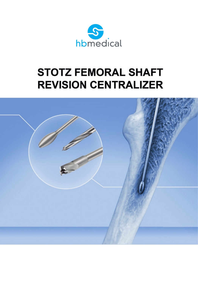

# **STOTZ FEMORAL SHAFT REVISION CENTRALIZER**

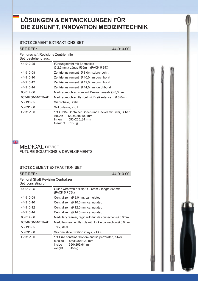# **LÖSUNGEN & ENTWICKLUNGEN FÜR DIE ZUKUNFT, INNOVATION MEDIZINTECHNIK**

#### STOTZ ZEMENT EXTRAKTIONS SET

#### SET REF.: 44-910-00

Femurschaft Revisions Zentrierhilfe

Set, bestehend aus:

| 44-912-25         | Führungsdraht mit Bohrspitze<br>$\varnothing$ 2,5mm x Länge 565mm (PACK 5 ST.)                                                     |  |  |
|-------------------|------------------------------------------------------------------------------------------------------------------------------------|--|--|
| 44-910-08         | Zentrierinstrument Ø 8,0mm, durchbohrt                                                                                             |  |  |
| 44-910-10         | Zentrierinstrument Ø 10,0mm, durchbohrt                                                                                            |  |  |
| 44-910-12         | Zentrierinstrument Ø 12,0mm, durchbohrt                                                                                            |  |  |
| 44-910-14         | Zentrierinstrument Ø 14,0mm, durchbohrt                                                                                            |  |  |
| 60-014-06         | Markraumbohrer, starr mit Dreikantansatz Ø 8,0mm                                                                                   |  |  |
| 003-0200-010TR-AE | Markraumbohrer, flexibel mit Dreikantansatz Ø 8,0mm                                                                                |  |  |
| 55-198-05         | Siebschale, Stahl                                                                                                                  |  |  |
| 55-831-50         | Silikonleiste, 2 ST                                                                                                                |  |  |
| $C-111-100$       | 1/1 Größe Container Boden und Deckel mit Filter, Silber<br>Außen<br>580x280x100 mm<br>$Innen$ $550x265x84$ mm<br>Gewicht<br>3156 g |  |  |

#### NK.<br>Mr

#### MEDICAL DEVICE FUTURE SOLUTIONS & DEVELOPMENTS

#### STOTZ CEMENT EXTRACTION SET

SET REF.: 44-910-00

1

|  |                     | <b>Femoral Shaft Revision Centralizer</b> |
|--|---------------------|-------------------------------------------|
|  | Set. consisting of: |                                           |

| Set, consisting of: |                                                                                                                                |  |  |
|---------------------|--------------------------------------------------------------------------------------------------------------------------------|--|--|
| 44-912-25           | Guide wire with drill tip Ø 2.5mm x length 565mm<br>(PACK 5 PCS.)                                                              |  |  |
| 44-910-08           | Centralizer Ø 8.0mm, cannulated                                                                                                |  |  |
| 44-910-10           | Centralizer Ø 10.0mm, cannulated                                                                                               |  |  |
| 44-910-12           | Centralizer Ø 12.0mm, cannulated                                                                                               |  |  |
| 44-910-14           | Centralizer Ø 14.0mm, cannulated                                                                                               |  |  |
| 60-014-06           | Medullary reamer, regid with trinkle connection Ø 8.0mm                                                                        |  |  |
| 003-0200-010TR-AE   | Medullary reamer, flexible with trinkle connection $\varnothing$ 8.0mm                                                         |  |  |
| 55-198-05           | Tray, steel                                                                                                                    |  |  |
| 55-831-50           | Silicone slide, fixation inlays, 2 PCS.                                                                                        |  |  |
| $C-111-100$         | 1/1 Size container bottom and lid perforated, silver<br>580x280x100 mm<br>outside<br>inside $550x265x84$ mm<br>3156q<br>weight |  |  |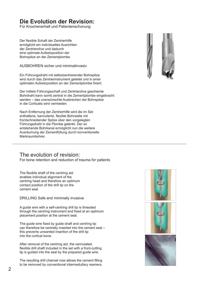## **Die Evolution der Revision:**

Für Knochenerhalt und Patientenschonung

Der flexible Schaft der Zentrierhilfe ermöglicht ein individuelles Ausrichten der Zentrierolive und dadurch eine optimale Aufsetzposition der Bohrspitze an der Zementplombe.

AUSBOHREN sicher und minimalinvasiv

Ein Führungsdraht mit selbstzentrierender Bohrspitze wird durch das Zentrierinstrument geleitet und in einer optimalen Aufsetzposition an der Zementplombe fixiert.

Der mittels Führungsschaft und Zentrierolive geschiente Bohrdraht kann somit zentral in die Zementplombe eingebracht werden – das unerwünschte Ausbrechen der Bohrspitze in die Corticalis wird vermieden.

Nach Entfernung der Zentrierhilfe wird die im Set enthaltene, kannulierte, flexible Bohrwelle mit frontschneidender Spitze über den vorgelegten Führungsdraht in die Plombe gelenkt. Der so entstehende Bohrkanal ermöglicht nun die weitere Ausräumung der Zementfüllung durch konventionelle Markraumbohrer.

## The evolution of revision:

For bone retention and reduction of trauma for patients

The flexible shaft of the centring aid enables individual alignment of the centring head and therefore an optimum contact position of the drill tip on the cement seal.

DRILLING Safe and minimally invasive

A guide wire with a self-centring drill tip is threaded through the centring instrument and fixed at an optimum placement position at the cement seal.

The guide wire fixed by guide shaft and centring tip can therefore be centrally inserted into the cement seal – this prevents unwanted insertion of the drill tip into the cortical bone.

After removal of the centring aid, the cannulated, flexible drill shaft included in the set with a front-cutting tip is guided into the seal by the prepared guide wire.

The resulting drill channel now allows the cement filling to be removed by conventional intermedullary reamers.







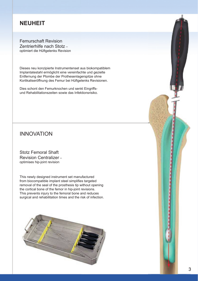## **NEUHEIT**

Femurschaft Revision Zentrierhilfe nach Stotz – optimiert die Hüftgelenks Revision

Dieses neu konzipierte Instrumentenset aus biokompatiblem Implantatestahl ermöglicht eine vereinfachte und gezielte Entfernung der Plombe der Prothesenlagerspitze ohne Kortikaliseröffnung des Femur bei Hüftgelenks Revisionen.

Dies schont den Femurknochen und senkt Eingriffsund Rehabilitationszeiten sowie das Infektionsrisiko.

## INNOVATION

Stotz Femoral Shaft Revision Centralizer – optimises hip-joint revision

This newly designed instrument set manufactured from biocompatible implant steel simplifies targeted removal of the seal of the prosthesis tip without opening the cortical bone of the femor in hip-joint revisions. This prevents injury to the femoral bone and reduces surgical and rehabilitation times and the risk of infection.